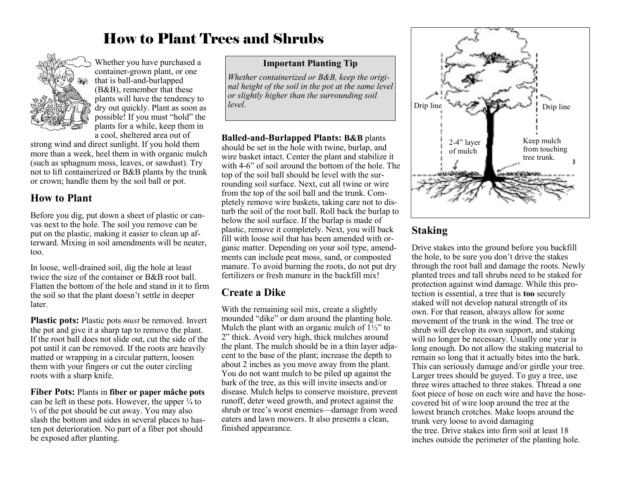# How to Plant Trees and Shrubs



Whether you have purchased a container-grown plant, or one that is ball-and-burlapped (B&B), remember that these plants will have the tendency to dry out quickly. Plant as soon as possible! If you must "hold" the plants for a while, keep them in a cool, sheltered area out of

strong wind and direct sunlight. If you hold them more than a week, heel them in with organic mulch (such as sphagnum moss, leaves, or sawdust). Try not to lift containerized or B&B plants by the trunk or crown; handle them by the soil ball or pot.

#### **How to Plant**

Before you dig, put down a sheet of plastic or canvas next to the hole. The soil you remove can be put on the plastic, making it easier to clean up afterward. Mixing in soil amendments will be neater, too.

In loose, well-drained soil, dig the hole at least twice the size of the container or B&B root ball. Flatten the bottom of the hole and stand in it to firm the soil so that the plant doesn't settle in deeper later.

**Plastic pots:** Plastic pots *must* be removed. Invert the pot and give it a sharp tap to remove the plant. If the root ball does not slide out, cut the side of the pot until it can be removed. If the roots are heavily matted or wrapping in a circular pattern, loosen them with your fingers or cut the outer circling roots with a sharp knife.

**Fiber Pots:** Plants in **fiber or paper mâche pots** can be left in these pots. However, the upper  $\frac{1}{4}$  to ⅓ of the pot should be cut away. You may also slash the bottom and sides in several places to hasten pot deterioration. No part of a fiber pot should be exposed after planting.

#### **Important Planting Tip**

*Whether containerized or B&B, keep the original height of the soil in the pot at the same level or slightly higher than the surrounding soil* 

**Balled-and-Burlapped Plants: B&B** plants should be set in the hole with twine, burlap, and wire basket intact. Center the plant and stabilize it with 4-6" of soil around the bottom of the hole. The top of the soil ball should be level with the surrounding soil surface. Next, cut all twine or wire from the top of the soil ball and the trunk. Completely remove wire baskets, taking care not to disturb the soil of the root ball. Roll back the burlap to below the soil surface. If the burlap is made of plastic, remove it completely. Next, you will back fill with loose soil that has been amended with organic matter. Depending on your soil type, amendments can include peat moss, sand, or composted manure. To avoid burning the roots, do not put dry fertilizers or fresh manure in the backfill mix!

#### **Create a Dike**

With the remaining soil mix, create a slightly mounded "dike" or dam around the planting hole. Mulch the plant with an organic mulch of  $1\frac{1}{2}$ " to 2" thick. Avoid very high, thick mulches around the plant. The mulch should be in a thin layer adjacent to the base of the plant; increase the depth to about 2 inches as you move away from the plant. You do not want mulch to be piled up against the bark of the tree, as this will invite insects and/or disease. Mulch helps to conserve moisture, prevent runoff, deter weed growth, and protect against the shrub or tree's worst enemies—damage from weed eaters and lawn mowers. It also presents a clean, finished appearance.



# **Staking**

Drive stakes into the ground before you backfill the hole, to be sure you don't drive the stakes through the root ball and damage the roots. Newly planted trees and tall shrubs need to be staked for protection against wind damage. While this protection is essential, a tree that is **too** securely staked will not develop natural strength of its own. For that reason, always allow for some movement of the trunk in the wind. The tree or shrub will develop its own support, and staking will no longer be necessary. Usually one year is long enough. Do not allow the staking material to remain so long that it actually bites into the bark. This can seriously damage and/or girdle your tree. Larger trees should be guyed. To guy a tree, use three wires attached to three stakes. Thread a one foot piece of hose on each wire and have the hosecovered bit of wire loop around the tree at the lowest branch crotches. Make loops around the trunk very loose to avoid damaging the tree. Drive stakes into firm soil at least 18 inches outside the perimeter of the planting hole.